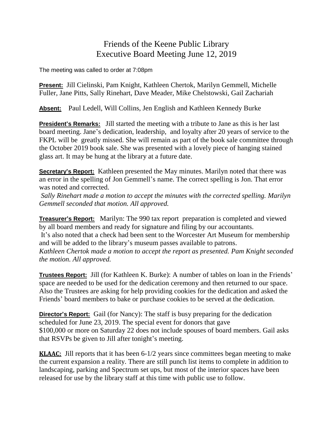## Friends of the Keene Public Library Executive Board Meeting June 12, 2019

The meeting was called to order at 7:08pm

**Present:** Jill Cielinski, Pam Knight, Kathleen Chertok, Marilyn Gemmell, Michelle Fuller, Jane Pitts, Sally Rinehart, Dave Meader, Mike Chelstowski, Gail Zachariah

**Absent:** Paul Ledell, Will Collins, Jen English and Kathleen Kennedy Burke

**President's Remarks:** Jill started the meeting with a tribute to Jane as this is her last board meeting. Jane's dedication, leadership, and loyalty after 20 years of service to the FKPL will be greatly missed. She will remain as part of the book sale committee through the October 2019 book sale. She was presented with a lovely piece of hanging stained glass art. It may be hung at the library at a future date.

**Secretary's Report:** Kathleen presented the May minutes. Marilyn noted that there was an error in the spelling of Jon Gemmell's name. The correct spelling is Jon. That error was noted and corrected.

*Sally Rinehart made a motion to accept the minutes with the corrected spelling. Marilyn Gemmell seconded that motion. All approved.*

**Treasurer's Report:** Marilyn: The 990 tax report preparation is completed and viewed by all board members and ready for signature and filing by our accountants. It's also noted that a check had been sent to the Worcester Art Museum for membership and will be added to the library's museum passes available to patrons. *Kathleen Chertok made a motion to accept the report as presented. Pam Knight seconded the motion. All approved.*

**Trustees Report:** Jill (for Kathleen K. Burke): A number of tables on loan in the Friends' space are needed to be used for the dedication ceremony and then returned to our space. Also the Trustees are asking for help providing cookies for the dedication and asked the Friends' board members to bake or purchase cookies to be served at the dedication.

**Director's Report:** Gail (for Nancy): The staff is busy preparing for the dedication scheduled for June 23, 2019. The special event for donors that gave \$100,000 or more on Saturday 22 does not include spouses of board members. Gail asks that RSVPs be given to Jill after tonight's meeting.

**KLAAC:** Jill reports that it has been 6-1/2 years since committees began meeting to make the current expansion a reality. There are still punch list items to complete in addition to landscaping, parking and Spectrum set ups, but most of the interior spaces have been released for use by the library staff at this time with public use to follow.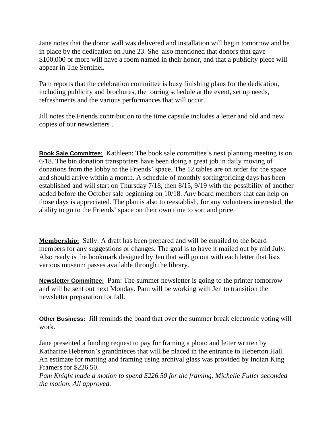Jane notes that the donor wall was delivered and installation will begin tomorrow and be in place by the dedication on June 23. She also mentioned that donors that gave \$100,000 or more will have a room named in their honor, and that a publicity piece will appear in The Sentinel.

Pam reports that the celebration committee is busy finishing plans for the dedication, including publicity and brochures, the touring schedule at the event, set up needs, refreshments and the various performances that will occur.

Jill notes the Friends contribution to the time capsule includes a letter and old and new copies of our newsletters .

**Book Sale Committee:** Kathleen: The book sale committee's next planning meeting is on 6/18. The bin donation transporters have been doing a great job in daily moving of donations from the lobby to the Friends' space. The 12 tables are on order for the space and should arrive within a month. A schedule of monthly sorting/pricing days has been established and will start on Thursday 7/18, then 8/15, 9/19 with the possibility of another added before the October sale beginning on 10/18. Any board members that can help on those days is appreciated. The plan is also to reestablish, for any volunteers interested, the ability to go to the Friends' space on their own time to sort and price.

**Membership:** Sally: A draft has been prepared and will be emailed to the board members for any suggestions or changes. The goal is to have it mailed out by mid July. Also ready is the bookmark designed by Jen that will go out with each letter that lists various museum passes available through the library.

**Newsletter Committee:** Pam: The summer newsletter is going to the printer tomorrow and will be sent out next Monday. Pam will be working with Jen to transition the newsletter preparation for fall.

**Other Business:** Jill reminds the board that over the summer break electronic voting will work.

Jane presented a funding request to pay for framing a photo and letter written by Katharine Heberton's grandnieces that will be placed in the entrance to Heberton Hall. An estimate for matting and framing using archival glass was provided by Indian King Framers for \$226.50.

*Pam Knight made a motion to spend \$226.50 for the framing. Michelle Fuller seconded the motion. All approved.*